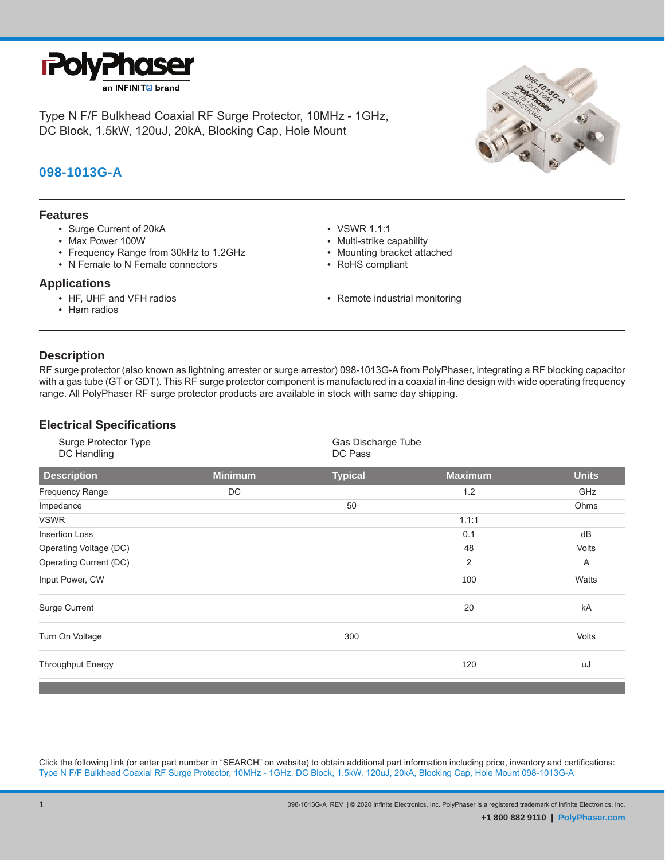

Type N F/F Bulkhead Coaxial RF Surge Protector, 10MHz - 1GHz, DC Block, 1.5kW, 120uJ, 20kA, Blocking Cap, Hole Mount

# **098-1013G-A**

#### **Features**

- Surge Current of 20kA
- Max Power 100W
- Frequency Range from 30kHz to 1.2GHz
- N Female to N Female connectors

#### **Applications**

- HF, UHF and VFH radios
- Ham radios
- VSWR 1.1:1
- Multi-strike capability
- Mounting bracket attached
- RoHS compliant
- Remote industrial monitoring

### **Description**

**.**

RF surge protector (also known as lightning arrester or surge arrestor) 098-1013G-A from PolyPhaser, integrating a RF blocking capacitor with a gas tube (GT or GDT). This RF surge protector component is manufactured in a coaxial in-line design with wide operating frequency range. All PolyPhaser RF surge protector products are available in stock with same day shipping.

## **Electrical Specifications**

| Surge Protector Type<br>DC Handling |                | Gas Discharge Tube<br>DC Pass |                |              |
|-------------------------------------|----------------|-------------------------------|----------------|--------------|
| <b>Description</b>                  | <b>Minimum</b> | <b>Typical</b>                | <b>Maximum</b> | <b>Units</b> |
| Frequency Range                     | DC             |                               | 1.2            | GHz          |
| Impedance                           |                | 50                            |                | Ohms         |
| <b>VSWR</b>                         |                |                               | 1.1:1          |              |
| <b>Insertion Loss</b>               |                |                               | 0.1            | dB           |
| Operating Voltage (DC)              |                |                               | 48             | Volts        |
| Operating Current (DC)              |                |                               | 2              | A            |
| Input Power, CW                     |                |                               | 100            | Watts        |
| Surge Current                       |                |                               | 20             | kA           |
| Turn On Voltage                     |                | 300                           |                | Volts        |
| <b>Throughput Energy</b>            |                |                               | 120            | uJ           |

Click the following link (or enter part number in "SEARCH" on website) to obtain additional part information including price, inventory and certifications: Type N F/F Bulkhead Coaxial RF Surge Protector, 10MHz - 1GHz, DC Block, 1.5kW, 120uJ, 20kA, Blocking Cap, Hole Mount 098-1013G-A

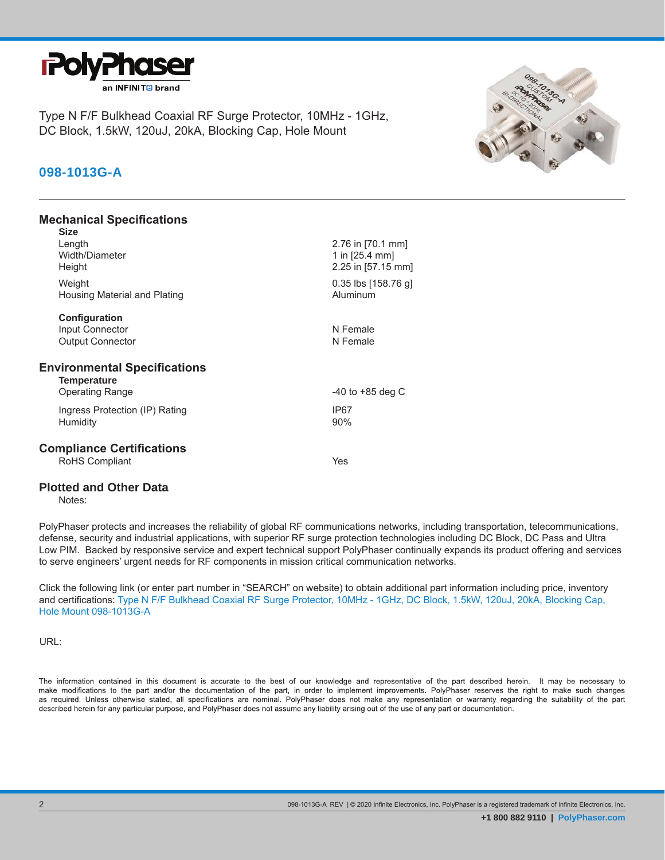

Type N F/F Bulkhead Coaxial RF Surge Protector, 10MHz - 1GHz, DC Block, 1.5kW, 120uJ, 20kA, Blocking Cap, Hole Mount

# **098-1013G-A**

### **Mechanical Specifications**

| Size                                                                                |                                                           |
|-------------------------------------------------------------------------------------|-----------------------------------------------------------|
| Length<br>Width/Diameter<br>Height                                                  | 2.76 in [70.1 mm]<br>1 in [25.4 mm]<br>2.25 in [57.15 mm] |
| Weight<br>Housing Material and Plating                                              | $0.35$ lbs [158.76 g]<br>Aluminum                         |
| Configuration                                                                       |                                                           |
| Input Connector                                                                     | N Female                                                  |
| <b>Output Connector</b>                                                             | N Female                                                  |
| <b>Environmental Specifications</b><br><b>Temperature</b><br><b>Operating Range</b> | $-40$ to $+85$ deg C                                      |
|                                                                                     |                                                           |
| Ingress Protection (IP) Rating                                                      | IP67                                                      |
| Humidity                                                                            | 90%                                                       |
| <b>Compliance Certifications</b>                                                    |                                                           |
| RoHS Compliant                                                                      | Yes                                                       |
|                                                                                     |                                                           |

#### **Plotted and Other Data**

Notes:

PolyPhaser protects and increases the reliability of global RF communications networks, including transportation, telecommunications, defense, security and industrial applications, with superior RF surge protection technologies including DC Block, DC Pass and Ultra Low PIM. Backed by responsive service and expert technical support PolyPhaser continually expands its product offering and services to serve engineers' urgent needs for RF components in mission critical communication networks.

Click the following link (or enter part number in "SEARCH" on website) to obtain additional part information including price, inventory and certifications: Type N F/F Bulkhead Coaxial RF Surge Protector, 10MHz - 1GHz, DC Block, 1.5kW, 120uJ, 20kA, Blocking Cap, Hole Mount 098-1013G-A

URL:

The information contained in this document is accurate to the best of our knowledge and representative of the part described herein. It may be necessary to make modifications to the part and/or the documentation of the part, in order to implement improvements. PolyPhaser reserves the right to make such changes as required. Unless otherwise stated, all specifications are nominal. PolyPhaser does not make any representation or warranty regarding the suitability of the part described herein for any particular purpose, and PolyPhaser does not assume any liability arising out of the use of any part or documentation.